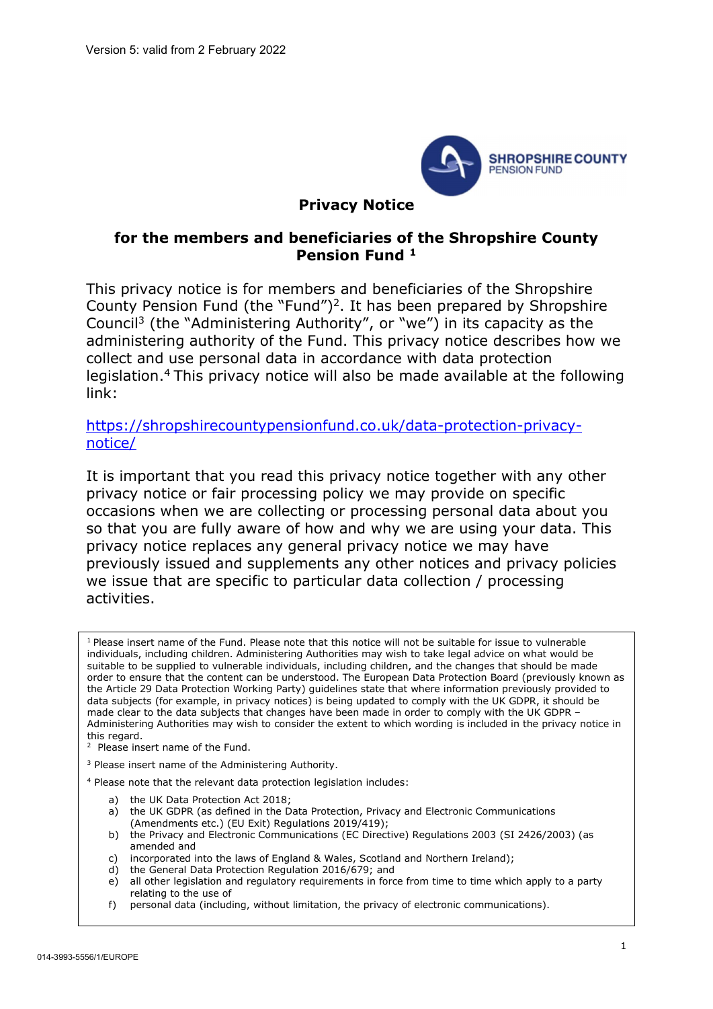

#### Privacy Notice

#### for the members and beneficiaries of the Shropshire County Pension Fund <sup>1</sup>

This privacy notice is for members and beneficiaries of the Shropshire County Pension Fund (the "Fund")<sup>2</sup>. It has been prepared by Shropshire Council<sup>3</sup> (the "Administering Authority", or "we") in its capacity as the administering authority of the Fund. This privacy notice describes how we collect and use personal data in accordance with data protection legislation.<sup>4</sup>This privacy notice will also be made available at the following link:

https://shropshirecountypensionfund.co.uk/data-protection-privacynotice/

It is important that you read this privacy notice together with any other privacy notice or fair processing policy we may provide on specific occasions when we are collecting or processing personal data about you so that you are fully aware of how and why we are using your data. This privacy notice replaces any general privacy notice we may have previously issued and supplements any other notices and privacy policies we issue that are specific to particular data collection / processing activities.

 $1$  Please insert name of the Fund. Please note that this notice will not be suitable for issue to vulnerable individuals, including children. Administering Authorities may wish to take legal advice on what would be suitable to be supplied to vulnerable individuals, including children, and the changes that should be made order to ensure that the content can be understood. The European Data Protection Board (previously known as the Article 29 Data Protection Working Party) guidelines state that where information previously provided to data subjects (for example, in privacy notices) is being updated to comply with the UK GDPR, it should be made clear to the data subjects that changes have been made in order to comply with the UK GDPR – Administering Authorities may wish to consider the extent to which wording is included in the privacy notice in this regard.

- 2 Please insert name of the Fund.
- <sup>3</sup> Please insert name of the Administering Authority.

4 Please note that the relevant data protection legislation includes:

- a) the UK Data Protection Act 2018;
- a) the UK GDPR (as defined in the Data Protection, Privacy and Electronic Communications (Amendments etc.) (EU Exit) Regulations 2019/419);
- b) the Privacy and Electronic Communications (EC Directive) Regulations 2003 (SI 2426/2003) (as amended and
- c) incorporated into the laws of England & Wales, Scotland and Northern Ireland);
- d) the General Data Protection Regulation 2016/679; and
- e) all other legislation and regulatory requirements in force from time to time which apply to a party relating to the use of
- f) personal data (including, without limitation, the privacy of electronic communications).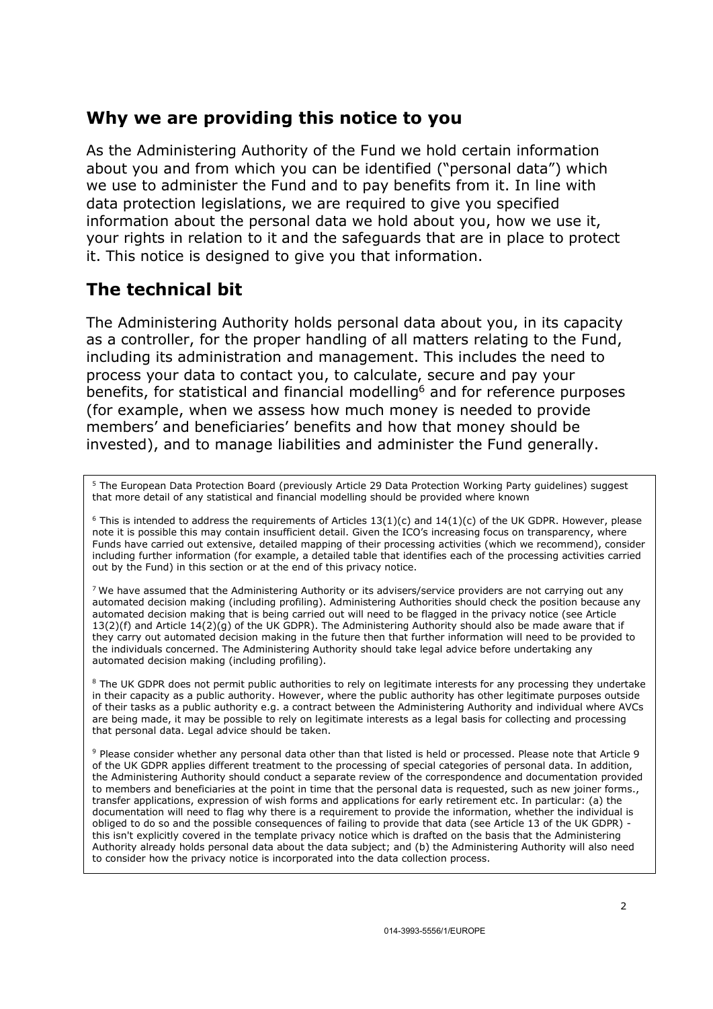### Why we are providing this notice to you

As the Administering Authority of the Fund we hold certain information about you and from which you can be identified ("personal data") which we use to administer the Fund and to pay benefits from it. In line with data protection legislations, we are required to give you specified information about the personal data we hold about you, how we use it, your rights in relation to it and the safeguards that are in place to protect it. This notice is designed to give you that information.

## The technical bit

The Administering Authority holds personal data about you, in its capacity as a controller, for the proper handling of all matters relating to the Fund, including its administration and management. This includes the need to process your data to contact you, to calculate, secure and pay your benefits, for statistical and financial modelling<sup>6</sup> and for reference purposes (for example, when we assess how much money is needed to provide members' and beneficiaries' benefits and how that money should be invested), and to manage liabilities and administer the Fund generally.

<sup>5</sup> The European Data Protection Board (previously Article 29 Data Protection Working Party guidelines) suggest that more detail of any statistical and financial modelling should be provided where known

 $6$  This is intended to address the requirements of Articles 13(1)(c) and 14(1)(c) of the UK GDPR. However, please note it is possible this may contain insufficient detail. Given the ICO's increasing focus on transparency, where Funds have carried out extensive, detailed mapping of their processing activities (which we recommend), consider including further information (for example, a detailed table that identifies each of the processing activities carried out by the Fund) in this section or at the end of this privacy notice.

 $7$  We have assumed that the Administering Authority or its advisers/service providers are not carrying out any automated decision making (including profiling). Administering Authorities should check the position because any automated decision making that is being carried out will need to be flagged in the privacy notice (see Article 13(2)(f) and Article 14(2)(g) of the UK GDPR). The Administering Authority should also be made aware that if they carry out automated decision making in the future then that further information will need to be provided to the individuals concerned. The Administering Authority should take legal advice before undertaking any automated decision making (including profiling).

<sup>8</sup> The UK GDPR does not permit public authorities to rely on legitimate interests for any processing they undertake in their capacity as a public authority. However, where the public authority has other legitimate purposes outside of their tasks as a public authority e.g. a contract between the Administering Authority and individual where AVCs are being made, it may be possible to rely on legitimate interests as a legal basis for collecting and processing that personal data. Legal advice should be taken.

9 Please consider whether any personal data other than that listed is held or processed. Please note that Article 9 of the UK GDPR applies different treatment to the processing of special categories of personal data. In addition, the Administering Authority should conduct a separate review of the correspondence and documentation provided to members and beneficiaries at the point in time that the personal data is requested, such as new joiner forms., transfer applications, expression of wish forms and applications for early retirement etc. In particular: (a) the documentation will need to flag why there is a requirement to provide the information, whether the individual is obliged to do so and the possible consequences of failing to provide that data (see Article 13 of the UK GDPR) this isn't explicitly covered in the template privacy notice which is drafted on the basis that the Administering Authority already holds personal data about the data subject; and (b) the Administering Authority will also need to consider how the privacy notice is incorporated into the data collection process.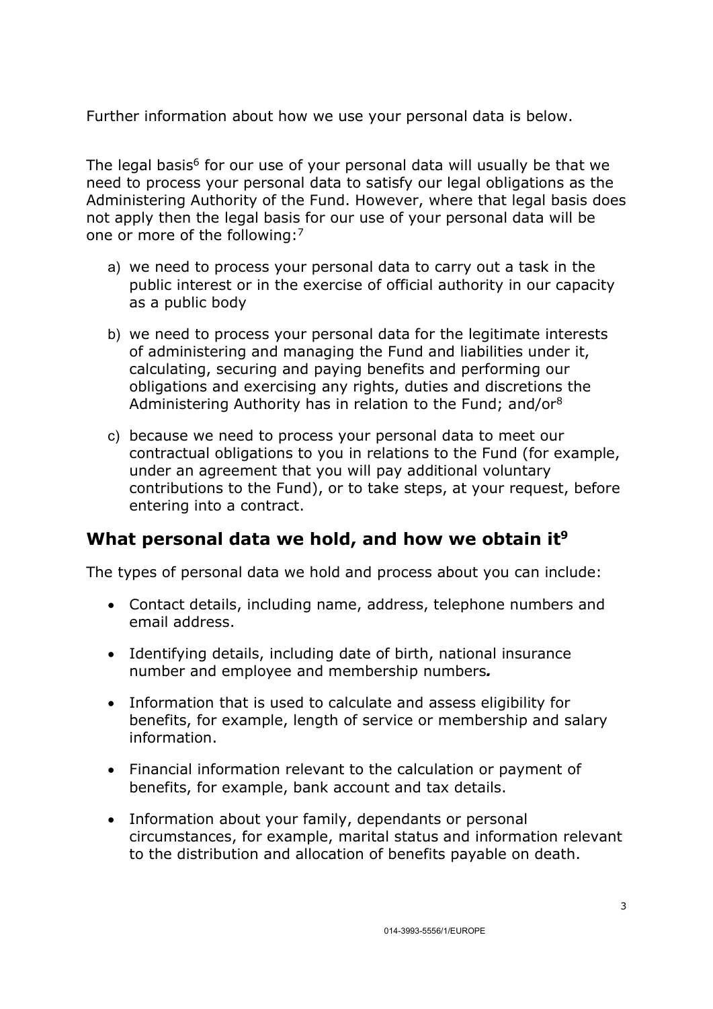Further information about how we use your personal data is below.

The legal basis<sup>6</sup> for our use of your personal data will usually be that we need to process your personal data to satisfy our legal obligations as the Administering Authority of the Fund. However, where that legal basis does not apply then the legal basis for our use of your personal data will be one or more of the following:<sup>7</sup>

- a) we need to process your personal data to carry out a task in the public interest or in the exercise of official authority in our capacity as a public body
- b) we need to process your personal data for the legitimate interests of administering and managing the Fund and liabilities under it, calculating, securing and paying benefits and performing our obligations and exercising any rights, duties and discretions the Administering Authority has in relation to the Fund; and/or<sup>8</sup>
- c) because we need to process your personal data to meet our contractual obligations to you in relations to the Fund (for example, under an agreement that you will pay additional voluntary contributions to the Fund), or to take steps, at your request, before entering into a contract.

### What personal data we hold, and how we obtain it<sup>9</sup>

The types of personal data we hold and process about you can include:

- Contact details, including name, address, telephone numbers and email address.
- Identifying details, including date of birth, national insurance number and employee and membership numbers.
- Information that is used to calculate and assess eligibility for benefits, for example, length of service or membership and salary information.
- Financial information relevant to the calculation or payment of benefits, for example, bank account and tax details.
- Information about your family, dependants or personal circumstances, for example, marital status and information relevant to the distribution and allocation of benefits payable on death.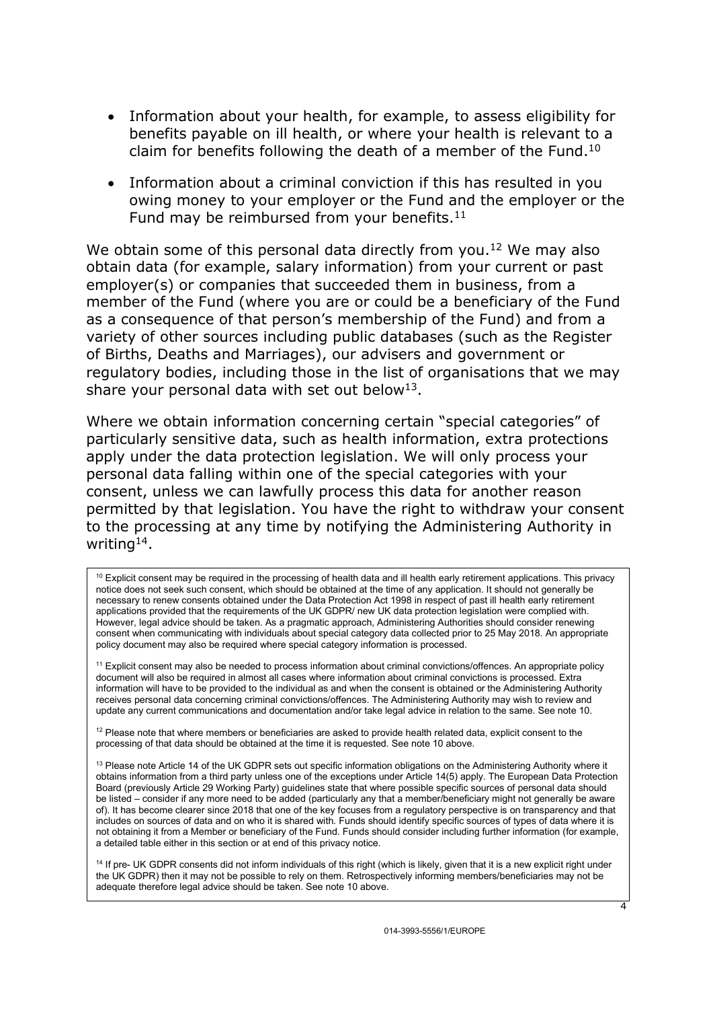- Information about your health, for example, to assess eligibility for benefits payable on ill health, or where your health is relevant to a claim for benefits following the death of a member of the Fund.<sup>10</sup>
- Information about a criminal conviction if this has resulted in you owing money to your employer or the Fund and the employer or the Fund may be reimbursed from your benefits. $11$

We obtain some of this personal data directly from you.<sup>12</sup> We may also obtain data (for example, salary information) from your current or past employer(s) or companies that succeeded them in business, from a member of the Fund (where you are or could be a beneficiary of the Fund as a consequence of that person's membership of the Fund) and from a variety of other sources including public databases (such as the Register of Births, Deaths and Marriages), our advisers and government or regulatory bodies, including those in the list of organisations that we may share your personal data with set out below<sup>13</sup>.

Where we obtain information concerning certain "special categories" of particularly sensitive data, such as health information, extra protections apply under the data protection legislation. We will only process your personal data falling within one of the special categories with your consent, unless we can lawfully process this data for another reason permitted by that legislation. You have the right to withdraw your consent to the processing at any time by notifying the Administering Authority in writing  $14$ .

 $10$  Explicit consent may be required in the processing of health data and ill health early retirement applications. This privacy notice does not seek such consent, which should be obtained at the time of any application. It should not generally be necessary to renew consents obtained under the Data Protection Act 1998 in respect of past ill health early retirement applications provided that the requirements of the UK GDPR/ new UK data protection legislation were complied with. However, legal advice should be taken. As a pragmatic approach, Administering Authorities should consider renewing consent when communicating with individuals about special category data collected prior to 25 May 2018. An appropriate policy document may also be required where special category information is processed.

<sup>11</sup> Explicit consent may also be needed to process information about criminal convictions/offences. An appropriate policy document will also be required in almost all cases where information about criminal convictions is processed. Extra information will have to be provided to the individual as and when the consent is obtained or the Administering Authority receives personal data concerning criminal convictions/offences. The Administering Authority may wish to review and update any current communications and documentation and/or take legal advice in relation to the same. See note 10.

 $12$  Please note that where members or beneficiaries are asked to provide health related data, explicit consent to the processing of that data should be obtained at the time it is requested. See note 10 above.

 $13$  Please note Article 14 of the UK GDPR sets out specific information obligations on the Administering Authority where it obtains information from a third party unless one of the exceptions under Article 14(5) apply. The European Data Protection Board (previously Article 29 Working Party) guidelines state that where possible specific sources of personal data should be listed – consider if any more need to be added (particularly any that a member/beneficiary might not generally be aware of). It has become clearer since 2018 that one of the key focuses from a regulatory perspective is on transparency and that includes on sources of data and on who it is shared with. Funds should identify specific sources of types of data where it is not obtaining it from a Member or beneficiary of the Fund. Funds should consider including further information (for example, a detailed table either in this section or at end of this privacy notice.

<sup>14</sup> If pre- UK GDPR consents did not inform individuals of this right (which is likely, given that it is a new explicit right under the UK GDPR) then it may not be possible to rely on them. Retrospectively informing members/beneficiaries may not be adequate therefore legal advice should be taken. See note 10 above.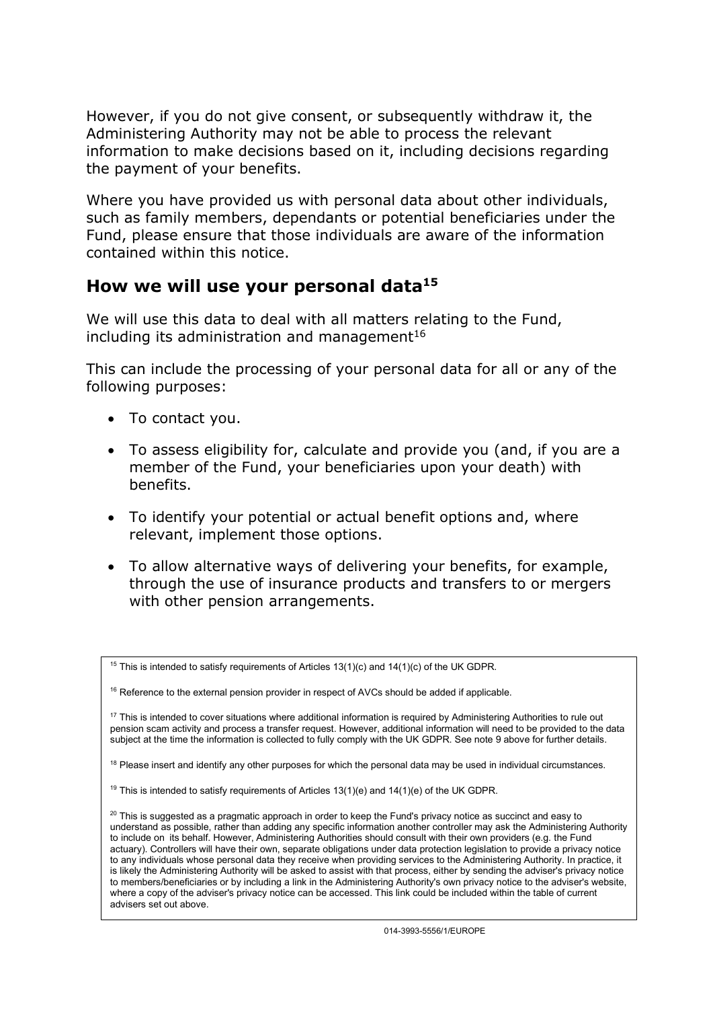However, if you do not give consent, or subsequently withdraw it, the Administering Authority may not be able to process the relevant information to make decisions based on it, including decisions regarding the payment of your benefits.

Where you have provided us with personal data about other individuals, such as family members, dependants or potential beneficiaries under the Fund, please ensure that those individuals are aware of the information contained within this notice.

### How we will use your personal data  $15$

We will use this data to deal with all matters relating to the Fund, including its administration and management $16$ 

This can include the processing of your personal data for all or any of the following purposes:

- To contact you.
- To assess eligibility for, calculate and provide you (and, if you are a member of the Fund, your beneficiaries upon your death) with benefits.
- To identify your potential or actual benefit options and, where relevant, implement those options.
- To allow alternative ways of delivering your benefits, for example, through the use of insurance products and transfers to or mergers with other pension arrangements.

<sup>&</sup>lt;sup>15</sup> This is intended to satisfy requirements of Articles  $13(1)(c)$  and  $14(1)(c)$  of the UK GDPR.

<sup>&</sup>lt;sup>16</sup> Reference to the external pension provider in respect of AVCs should be added if applicable.

<sup>&</sup>lt;sup>17</sup> This is intended to cover situations where additional information is required by Administering Authorities to rule out pension scam activity and process a transfer request. However, additional information will need to be provided to the data subject at the time the information is collected to fully comply with the UK GDPR. See note 9 above for further details.

 $18$  Please insert and identify any other purposes for which the personal data may be used in individual circumstances.

<sup>&</sup>lt;sup>19</sup> This is intended to satisfy requirements of Articles  $13(1)(e)$  and  $14(1)(e)$  of the UK GDPR.

 $20$  This is suggested as a pragmatic approach in order to keep the Fund's privacy notice as succinct and easy to understand as possible, rather than adding any specific information another controller may ask the Administering Authority to include on its behalf. However, Administering Authorities should consult with their own providers (e.g. the Fund actuary). Controllers will have their own, separate obligations under data protection legislation to provide a privacy notice to any individuals whose personal data they receive when providing services to the Administering Authority. In practice, it is likely the Administering Authority will be asked to assist with that process, either by sending the adviser's privacy notice to members/beneficiaries or by including a link in the Administering Authority's own privacy notice to the adviser's website, where a copy of the adviser's privacy notice can be accessed. This link could be included within the table of current advisers set out above.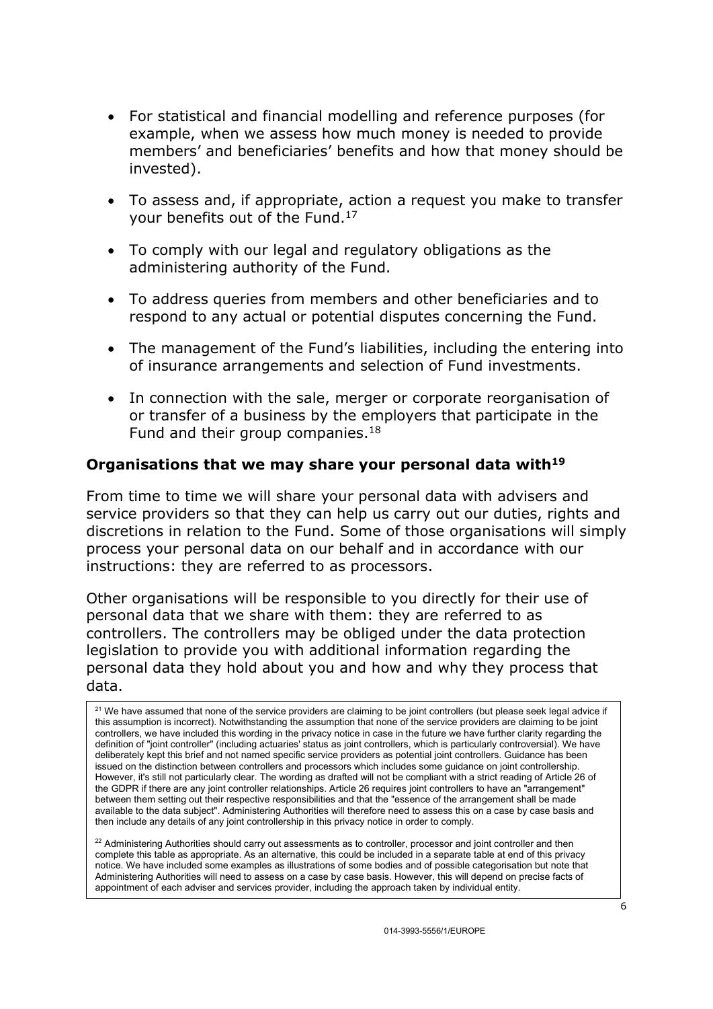- For statistical and financial modelling and reference purposes (for example, when we assess how much money is needed to provide members' and beneficiaries' benefits and how that money should be invested).
- To assess and, if appropriate, action a request you make to transfer your benefits out of the Fund.<sup>17</sup>
- To comply with our legal and regulatory obligations as the administering authority of the Fund.
- To address queries from members and other beneficiaries and to respond to any actual or potential disputes concerning the Fund.
- The management of the Fund's liabilities, including the entering into of insurance arrangements and selection of Fund investments.
- In connection with the sale, merger or corporate reorganisation of or transfer of a business by the employers that participate in the Fund and their group companies.<sup>18</sup>

#### Organisations that we may share your personal data with $19$

From time to time we will share your personal data with advisers and service providers so that they can help us carry out our duties, rights and discretions in relation to the Fund. Some of those organisations will simply process your personal data on our behalf and in accordance with our instructions: they are referred to as processors.

Other organisations will be responsible to you directly for their use of personal data that we share with them: they are referred to as controllers. The controllers may be obliged under the data protection legislation to provide you with additional information regarding the personal data they hold about you and how and why they process that data.

<sup>21</sup> We have assumed that none of the service providers are claiming to be joint controllers (but please seek legal advice if this assumption is incorrect). Notwithstanding the assumption that none of the service providers are claiming to be joint controllers, we have included this wording in the privacy notice in case in the future we have further clarity regarding the definition of "joint controller" (including actuaries' status as joint controllers, which is particularly controversial). We have deliberately kept this brief and not named specific service providers as potential joint controllers. Guidance has been issued on the distinction between controllers and processors which includes some guidance on joint controllership. However, it's still not particularly clear. The wording as drafted will not be compliant with a strict reading of Article 26 of the GDPR if there are any joint controller relationships. Article 26 requires joint controllers to have an "arrangement" between them setting out their respective responsibilities and that the "essence of the arrangement shall be made available to the data subject". Administering Authorities will therefore need to assess this on a case by case basis and then include any details of any joint controllership in this privacy notice in order to comply.

 $22$  Administering Authorities should carry out assessments as to controller, processor and joint controller and then complete this table as appropriate. As an alternative, this could be included in a separate table at end of this privacy notice. We have included some examples as illustrations of some bodies and of possible categorisation but note that Administering Authorities will need to assess on a case by case basis. However, this will depend on precise facts of appointment of each adviser and services provider, including the approach taken by individual entity.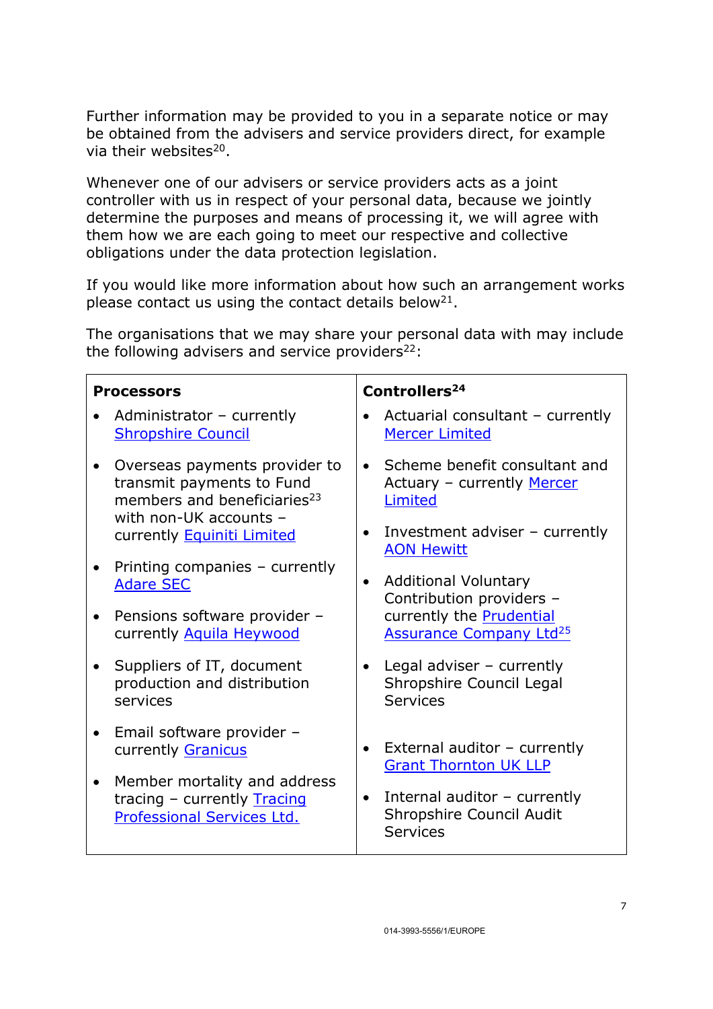Further information may be provided to you in a separate notice or may be obtained from the advisers and service providers direct, for example via their websites<sup>20</sup>.

Whenever one of our advisers or service providers acts as a joint controller with us in respect of your personal data, because we jointly determine the purposes and means of processing it, we will agree with them how we are each going to meet our respective and collective obligations under the data protection legislation.

If you would like more information about how such an arrangement works please contact us using the contact details below<sup>21</sup>.

The organisations that we may share your personal data with may include the following advisers and service providers $22$ :

| <b>Processors</b>                                                                                                                              | Controllers <sup>24</sup>                                                    |
|------------------------------------------------------------------------------------------------------------------------------------------------|------------------------------------------------------------------------------|
| Administrator - currently                                                                                                                      | Actuarial consultant - currently                                             |
| <b>Shropshire Council</b>                                                                                                                      | <b>Mercer Limited</b>                                                        |
| Overseas payments provider to<br>$\bullet$<br>transmit payments to Fund<br>members and beneficiaries <sup>23</sup><br>with non-UK accounts $-$ | Scheme benefit consultant and<br>Actuary - currently Mercer<br>Limited       |
| currently Equiniti Limited                                                                                                                     | Investment adviser $-$ currently<br>$\bullet$<br><b>AON Hewitt</b>           |
| Printing companies - currently                                                                                                                 | <b>Additional Voluntary</b>                                                  |
| $\bullet$                                                                                                                                      | $\bullet$                                                                    |
| <b>Adare SEC</b>                                                                                                                               | Contribution providers -                                                     |
| Pensions software provider -<br>$\bullet$<br>currently Aquila Heywood                                                                          | currently the <b>Prudential</b><br><b>Assurance Company Ltd<sup>25</sup></b> |
| Suppliers of IT, document                                                                                                                      | Legal adviser $-$ currently                                                  |
| production and distribution                                                                                                                    | Shropshire Council Legal                                                     |
| services                                                                                                                                       | Services                                                                     |
| Email software provider -                                                                                                                      | External auditor - currently                                                 |
| $\bullet$                                                                                                                                      | $\bullet$                                                                    |
| currently Granicus                                                                                                                             | <b>Grant Thornton UK LLP</b>                                                 |
| Member mortality and address                                                                                                                   | Internal auditor $-$ currently                                               |
| $\bullet$                                                                                                                                      | $\bullet$                                                                    |
| tracing - currently <b>Tracing</b>                                                                                                             | Shropshire Council Audit                                                     |
| Professional Services Ltd.                                                                                                                     | <b>Services</b>                                                              |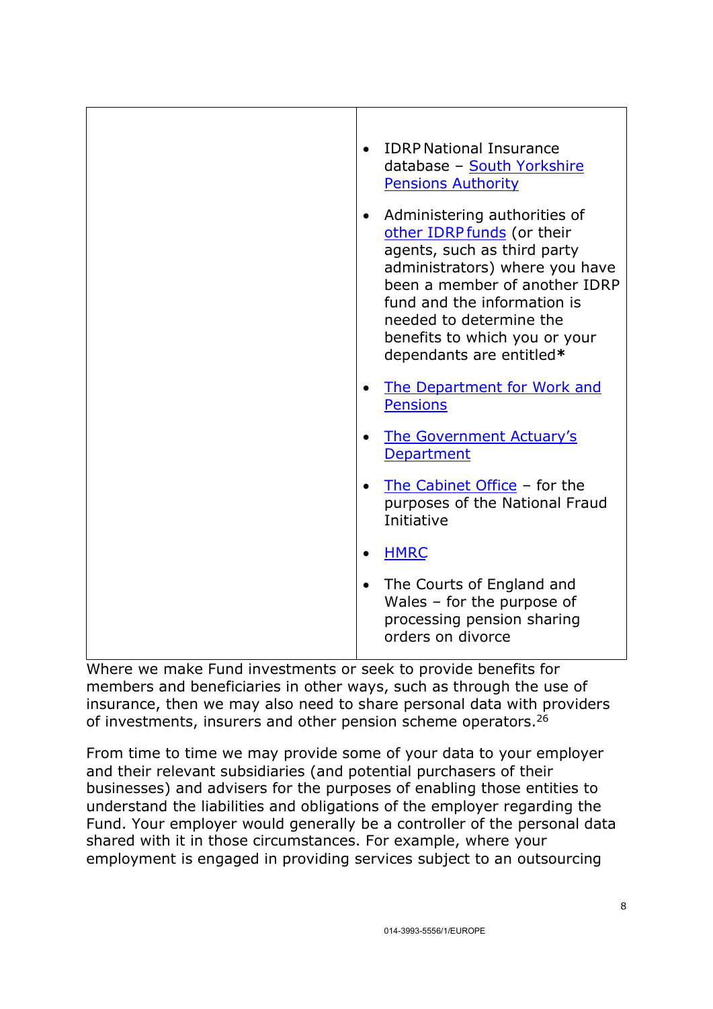| <b>IDRP National Insurance</b><br>database - South Yorkshire<br><b>Pensions Authority</b>                                                                                                                                                                                                        |
|--------------------------------------------------------------------------------------------------------------------------------------------------------------------------------------------------------------------------------------------------------------------------------------------------|
| Administering authorities of<br>$\bullet$<br>other IDRP funds (or their<br>agents, such as third party<br>administrators) where you have<br>been a member of another IDRP<br>fund and the information is<br>needed to determine the<br>benefits to which you or your<br>dependants are entitled* |
| The Department for Work and<br><b>Pensions</b>                                                                                                                                                                                                                                                   |
| <b>The Government Actuary's</b><br>Department                                                                                                                                                                                                                                                    |
| The Cabinet Office - for the<br>purposes of the National Fraud<br>Initiative                                                                                                                                                                                                                     |
| <b>HMRC</b><br>$\bullet$                                                                                                                                                                                                                                                                         |
| The Courts of England and<br>Wales $-$ for the purpose of<br>processing pension sharing<br>orders on divorce                                                                                                                                                                                     |

Where we make Fund investments or seek to provide benefits for members and beneficiaries in other ways, such as through the use of insurance, then we may also need to share personal data with providers of investments, insurers and other pension scheme operators.<sup>26</sup>

From time to time we may provide some of your data to your employer and their relevant subsidiaries (and potential purchasers of their businesses) and advisers for the purposes of enabling those entities to understand the liabilities and obligations of the employer regarding the Fund. Your employer would generally be a controller of the personal data shared with it in those circumstances. For example, where your employment is engaged in providing services subject to an outsourcing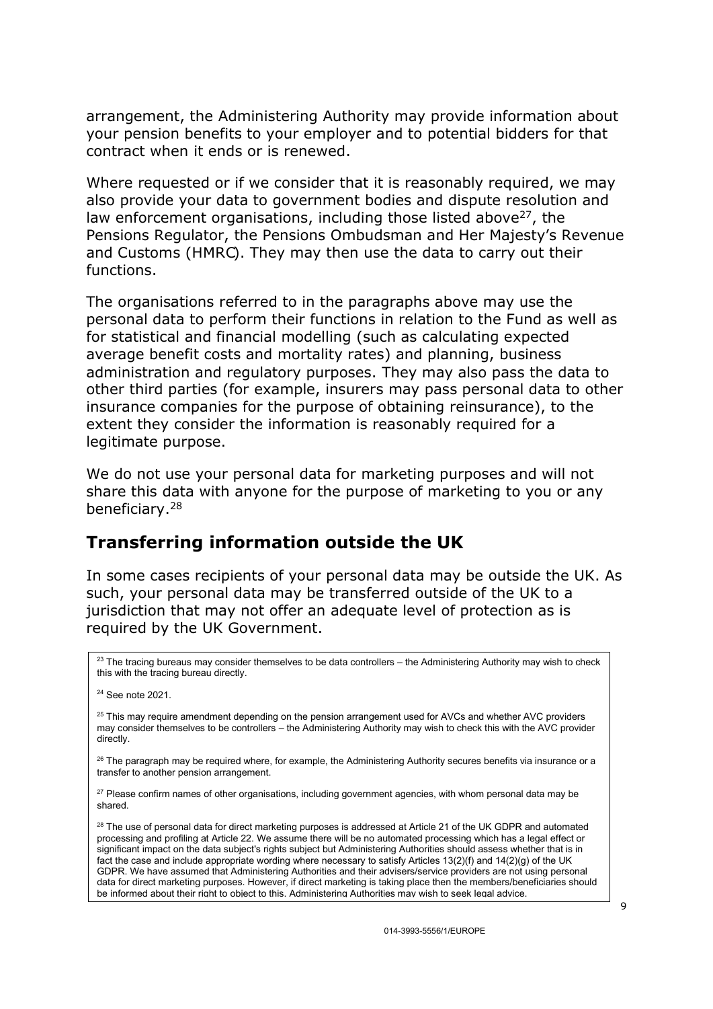arrangement, the Administering Authority may provide information about your pension benefits to your employer and to potential bidders for that contract when it ends or is renewed.

Where requested or if we consider that it is reasonably required, we may also provide your data to government bodies and dispute resolution and law enforcement organisations, including those listed above $27$ , the Pensions Regulator, the Pensions Ombudsman and Her Majesty's Revenue and Customs (HMRC). They may then use the data to carry out their functions.

The organisations referred to in the paragraphs above may use the personal data to perform their functions in relation to the Fund as well as for statistical and financial modelling (such as calculating expected average benefit costs and mortality rates) and planning, business administration and regulatory purposes. They may also pass the data to other third parties (for example, insurers may pass personal data to other insurance companies for the purpose of obtaining reinsurance), to the extent they consider the information is reasonably required for a legitimate purpose.

We do not use your personal data for marketing purposes and will not share this data with anyone for the purpose of marketing to you or any beneficiary.<sup>28</sup>

### Transferring information outside the UK

In some cases recipients of your personal data may be outside the UK. As such, your personal data may be transferred outside of the UK to a jurisdiction that may not offer an adequate level of protection as is required by the UK Government.

 $23$  The tracing bureaus may consider themselves to be data controllers – the Administering Authority may wish to check this with the tracing bureau directly.

<sup>24</sup> See note 2021.

 $25$  This may require amendment depending on the pension arrangement used for AVCs and whether AVC providers may consider themselves to be controllers – the Administering Authority may wish to check this with the AVC provider directly.

 $26$  The paragraph may be required where, for example, the Administering Authority secures benefits via insurance or a transfer to another pension arrangement.

<sup>27</sup> Please confirm names of other organisations, including government agencies, with whom personal data may be shared.

<sup>28</sup> The use of personal data for direct marketing purposes is addressed at Article 21 of the UK GDPR and automated processing and profiling at Article 22. We assume there will be no automated processing which has a legal effect or significant impact on the data subject's rights subject but Administering Authorities should assess whether that is in fact the case and include appropriate wording where necessary to satisfy Articles 13(2)(f) and 14(2)(g) of the UK GDPR. We have assumed that Administering Authorities and their advisers/service providers are not using personal data for direct marketing purposes. However, if direct marketing is taking place then the members/beneficiaries should be informed about their right to object to this. Administering Authorities may wish to seek legal advice.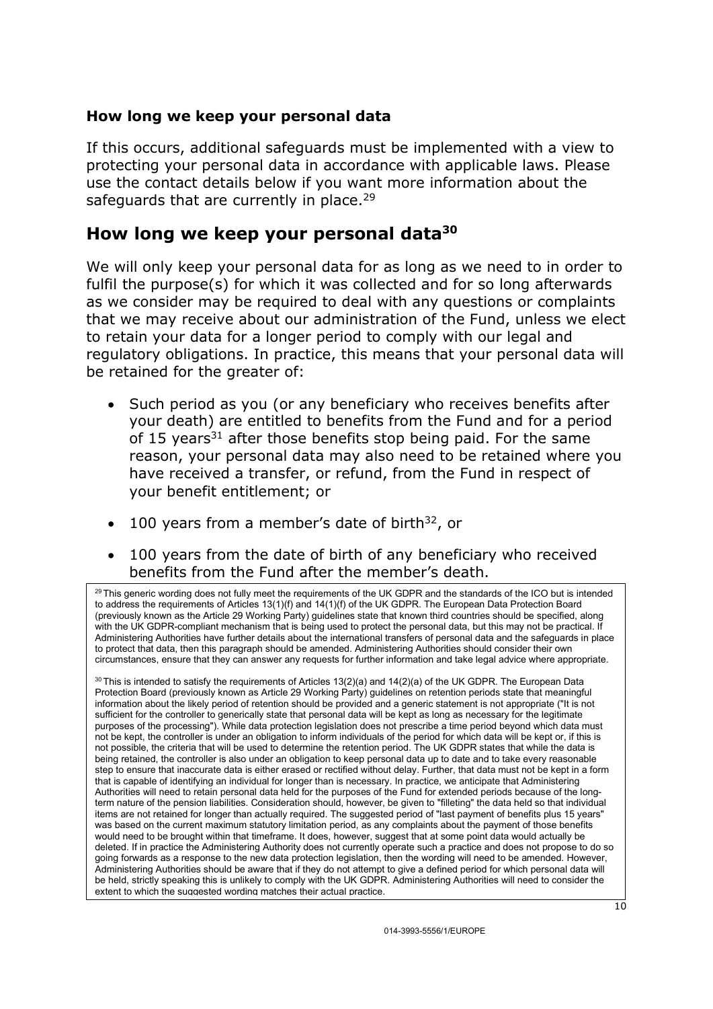#### How long we keep your personal data

If this occurs, additional safeguards must be implemented with a view to protecting your personal data in accordance with applicable laws. Please use the contact details below if you want more information about the safeguards that are currently in place.<sup>29</sup>

#### How long we keep your personal data<sup>30</sup>

We will only keep your personal data for as long as we need to in order to fulfil the purpose(s) for which it was collected and for so long afterwards as we consider may be required to deal with any questions or complaints that we may receive about our administration of the Fund, unless we elect to retain your data for a longer period to comply with our legal and regulatory obligations. In practice, this means that your personal data will be retained for the greater of:

- Such period as you (or any beneficiary who receives benefits after your death) are entitled to benefits from the Fund and for a period of 15 years<sup>31</sup> after those benefits stop being paid. For the same reason, your personal data may also need to be retained where you have received a transfer, or refund, from the Fund in respect of your benefit entitlement; or
- $\bullet$  100 years from a member's date of birth<sup>32</sup>, or
- 100 years from the date of birth of any beneficiary who received benefits from the Fund after the member's death.

 $^{29}$  This generic wording does not fully meet the requirements of the UK GDPR and the standards of the ICO but is intended to address the requirements of Articles 13(1)(f) and 14(1)(f) of the UK GDPR. The European Data Protection Board (previously known as the Article 29 Working Party) guidelines state that known third countries should be specified, along with the UK GDPR-compliant mechanism that is being used to protect the personal data, but this may not be practical. If Administering Authorities have further details about the international transfers of personal data and the safeguards in place to protect that data, then this paragraph should be amended. Administering Authorities should consider their own circumstances, ensure that they can answer any requests for further information and take legal advice where appropriate.

 $30$  This is intended to satisfy the requirements of Articles 13(2)(a) and 14(2)(a) of the UK GDPR. The European Data Protection Board (previously known as Article 29 Working Party) guidelines on retention periods state that meaningful information about the likely period of retention should be provided and a generic statement is not appropriate ("It is not sufficient for the controller to generically state that personal data will be kept as long as necessary for the legitimate purposes of the processing"). While data protection legislation does not prescribe a time period beyond which data must not be kept, the controller is under an obligation to inform individuals of the period for which data will be kept or, if this is not possible, the criteria that will be used to determine the retention period. The UK GDPR states that while the data is being retained, the controller is also under an obligation to keep personal data up to date and to take every reasonable step to ensure that inaccurate data is either erased or rectified without delay. Further, that data must not be kept in a form that is capable of identifying an individual for longer than is necessary. In practice, we anticipate that Administering Authorities will need to retain personal data held for the purposes of the Fund for extended periods because of the longterm nature of the pension liabilities. Consideration should, however, be given to "filleting" the data held so that individual items are not retained for longer than actually required. The suggested period of "last payment of benefits plus 15 years was based on the current maximum statutory limitation period, as any complaints about the payment of those benefits would need to be brought within that timeframe. It does, however, suggest that at some point data would actually be deleted. If in practice the Administering Authority does not currently operate such a practice and does not propose to do so going forwards as a response to the new data protection legislation, then the wording will need to be amended. However, Administering Authorities should be aware that if they do not attempt to give a defined period for which personal data will be held, strictly speaking this is unlikely to comply with the UK GDPR. Administering Authorities will need to consider the extent to which the suggested wording matches their actual practice.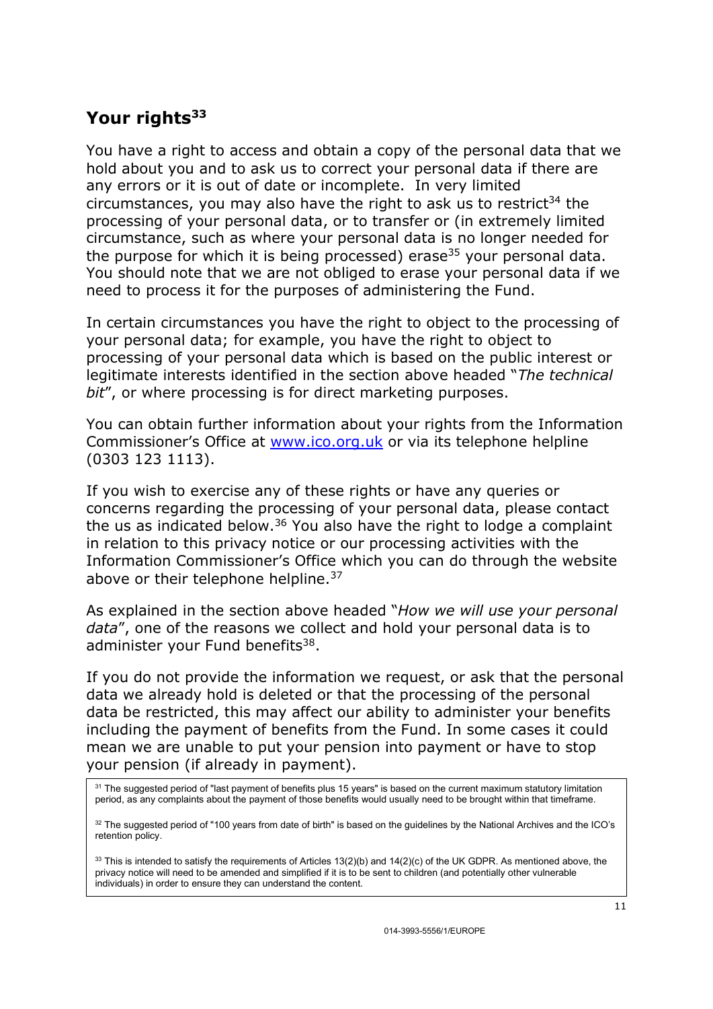## Your rights<sup>33</sup>

You have a right to access and obtain a copy of the personal data that we hold about you and to ask us to correct your personal data if there are any errors or it is out of date or incomplete. In very limited circumstances, you may also have the right to ask us to restrict $34$  the processing of your personal data, or to transfer or (in extremely limited circumstance, such as where your personal data is no longer needed for the purpose for which it is being processed) erase<sup>35</sup> your personal data. You should note that we are not obliged to erase your personal data if we need to process it for the purposes of administering the Fund.

In certain circumstances you have the right to object to the processing of your personal data; for example, you have the right to object to processing of your personal data which is based on the public interest or legitimate interests identified in the section above headed "The technical bit", or where processing is for direct marketing purposes.

You can obtain further information about your rights from the Information Commissioner's Office at www.ico.org.uk or via its telephone helpline (0303 123 1113).

If you wish to exercise any of these rights or have any queries or concerns regarding the processing of your personal data, please contact the us as indicated below.<sup>36</sup> You also have the right to lodge a complaint in relation to this privacy notice or our processing activities with the Information Commissioner's Office which you can do through the website above or their telephone helpline.<sup>37</sup>

As explained in the section above headed "How we will use your personal data", one of the reasons we collect and hold your personal data is to administer your Fund benefits<sup>38</sup>.

If you do not provide the information we request, or ask that the personal data we already hold is deleted or that the processing of the personal data be restricted, this may affect our ability to administer your benefits including the payment of benefits from the Fund. In some cases it could mean we are unable to put your pension into payment or have to stop your pension (if already in payment).

 $31$  The suggested period of "last payment of benefits plus 15 years" is based on the current maximum statutory limitation period, as any complaints about the payment of those benefits would usually need to be brought within that timeframe.

 $32$  The suggested period of "100 years from date of birth" is based on the guidelines by the National Archives and the ICO's retention policy.

 $33$  This is intended to satisfy the requirements of Articles 13(2)(b) and 14(2)(c) of the UK GDPR. As mentioned above, the privacy notice will need to be amended and simplified if it is to be sent to children (and potentially other vulnerable individuals) in order to ensure they can understand the content.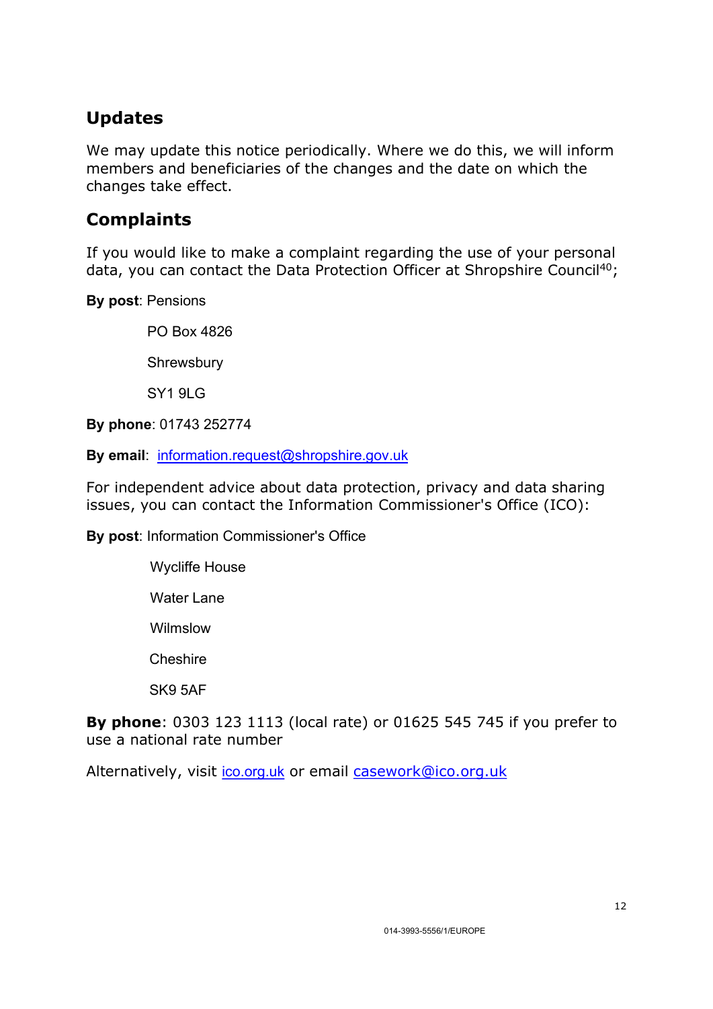# Updates

We may update this notice periodically. Where we do this, we will inform members and beneficiaries of the changes and the date on which the changes take effect.

# **Complaints**

If you would like to make a complaint regarding the use of your personal data, you can contact the Data Protection Officer at Shropshire Council<sup>40</sup>;

By post: Pensions

PO Box 4826

**Shrewsbury** 

**SY1 9LG** 

By phone: 01743 252774

By email: information.request@shropshire.gov.uk

For independent advice about data protection, privacy and data sharing issues, you can contact the Information Commissioner's Office (ICO):

By post: Information Commissioner's Office

- Wycliffe House Water Lane
- 
- Wilmslow
- **Cheshire**
- SK9 5AF

By phone: 0303 123 1113 (local rate) or 01625 545 745 if you prefer to use a national rate number

Alternatively, visit ico.org.uk or email casework@ico.org.uk